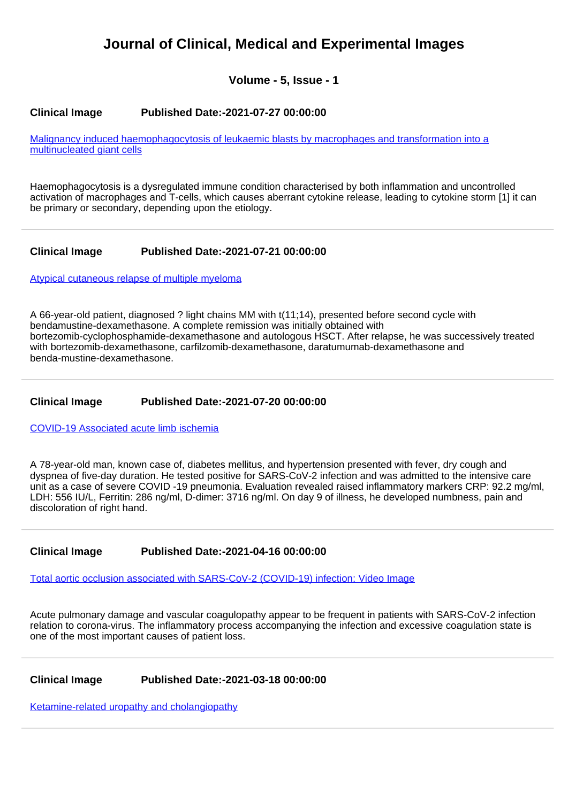# **Journal of Clinical, Medical and Experimental Images**

**Volume - 5, Issue - 1**

# **Clinical Image Published Date:-2021-07-27 00:00:00**

[Malignancy induced haemophagocytosis of leukaemic blasts by macrophages and transformation into a](https://www.clinmedimagesjournal.com/articles/jcmei-aid1023.pdf) [multinucleated giant cells](https://www.clinmedimagesjournal.com/articles/jcmei-aid1023.pdf)

Haemophagocytosis is a dysregulated immune condition characterised by both inflammation and uncontrolled activation of macrophages and T-cells, which causes aberrant cytokine release, leading to cytokine storm [1] it can be primary or secondary, depending upon the etiology.

# **Clinical Image Published Date:-2021-07-21 00:00:00**

[Atypical cutaneous relapse of multiple myeloma](https://www.clinmedimagesjournal.com/articles/jcmei-aid1022.pdf)

A 66-year-old patient, diagnosed ? light chains MM with t(11;14), presented before second cycle with bendamustine-dexamethasone. A complete remission was initially obtained with bortezomib-cyclophosphamide-dexamethasone and autologous HSCT. After relapse, he was successively treated with bortezomib-dexamethasone, carfilzomib-dexamethasone, daratumumab-dexamethasone and benda-mustine-dexamethasone.

# **Clinical Image Published Date:-2021-07-20 00:00:00**

[COVID-19 Associated acute limb ischemia](https://www.clinmedimagesjournal.com/articles/jcmei-aid1021.pdf)

A 78-year-old man, known case of, diabetes mellitus, and hypertension presented with fever, dry cough and dyspnea of five-day duration. He tested positive for SARS-CoV-2 infection and was admitted to the intensive care unit as a case of severe COVID -19 pneumonia. Evaluation revealed raised inflammatory markers CRP: 92.2 mg/ml, LDH: 556 IU/L, Ferritin: 286 ng/ml, D-dimer: 3716 ng/ml. On day 9 of illness, he developed numbness, pain and discoloration of right hand.

#### **Clinical Image Published Date:-2021-04-16 00:00:00**

[Total aortic occlusion associated with SARS-CoV-2 \(COVID-19\) infection: Video Image](https://www.clinmedimagesjournal.com/articles/jcmei-aid1020.pdf)

Acute pulmonary damage and vascular coagulopathy appear to be frequent in patients with SARS-CoV-2 infection relation to corona-virus. The inflammatory process accompanying the infection and excessive coagulation state is one of the most important causes of patient loss.

# **Clinical Image Published Date:-2021-03-18 00:00:00**

[Ketamine-related uropathy and cholangiopathy](https://www.clinmedimagesjournal.com/articles/jcmei-aid1018.pdf)